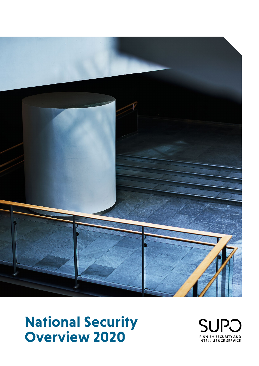

# **National Security Overview 2020**

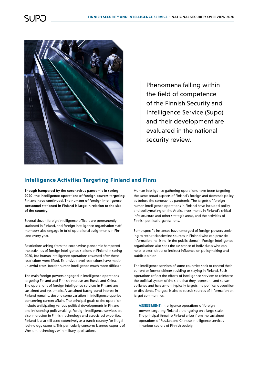

Phenomena falling within the field of competence of the Finnish Security and Intelligence Service (Supo) and their development are evaluated in the national security review.

#### **Intelligence Activities Targeting Finland and Finns**

Though hampered by the coronavirus pandemic in spring 2020, the intelligence operations of foreign powers targeting Finland have continued. The number of foreign intelligence personnel stationed in Finland is large in relation to the size of the country.

Several dozen foreign intelligence officers are permanently stationed in Finland, and foreign intelligence organisation staff members also engage in brief operational assignments in Finland every year.

Restrictions arising from the coronavirus pandemic hampered the activities of foreign intelligence stations in Finland in spring 2020, but human intelligence operations resumed after these restrictions were lifted. Extensive travel restrictions have made unlawful cross-border human intelligence much more difficult.

The main foreign powers engaged in intelligence operations targeting Finland and Finnish interests are Russia and China. The operations of foreign intelligence services in Finland are sustained and systematic. A sustained background interest in Finland remains, despite some variation in intelligence queries concerning current affairs. The principal goals of the operation include anticipating various political developments in Finland and influencing policymaking. Foreign intelligence services are also interested in Finnish technology and associated expertise. Finland is also still used extensively as a transit country for illegal technology exports. This particularly concerns banned exports of Western technology with military applications.

Human intelligence gathering operations have been targeting the same broad aspects of Finland's foreign and domestic policy as before the coronavirus pandemic. The targets of foreign human intelligence operations in Finland have included policy and policymaking on the Arctic, investments in Finland's critical infrastructure and other strategic areas, and the activities of Finnish political organisations.

Some specific instances have emerged of foreign powers seeking to recruit clandestine sources in Finland who can provide information that is not in the public domain. Foreign intelligence organisations also seek the assistance of individuals who can help to exert direct or indirect influence on policymaking and public opinion.

The intelligence services of some countries seek to control their current or former citizens residing or staying in Finland. Such operations reflect the efforts of intelligence services to reinforce the political system of the state that they represent, and so surveillance and harassment typically targets the political opposition or dissidents. The goal is also to recruit sources of information on target communities.

**ASSESSMENT:** Intelligence operations of foreign powers targeting Finland are ongoing on a large scale. The principal threat to Finland arises from the sustained operations of Russian and Chinese intelligence services in various sectors of Finnish society.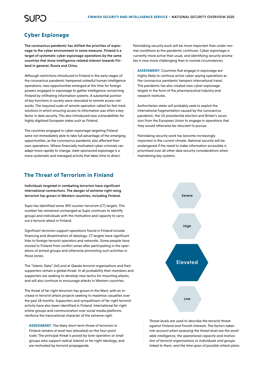## SUP.

### **Cyber Espionage**

The coronavirus pandemic has shifted the priorities of espionage to the cyber environment in some measure. Finland is a target of systematic cyber espionage operations by the same countries that show intelligence-related interest towards Finland in general, Russia and China.

Although restrictions introduced in Finland in the early stages of the coronavirus pandemic hampered unlawful human intelligence operations, new opportunities emerged at this time for foreign powers engaged in espionage to gather intelligence concerning Finland by infiltrating information systems. A substantial portion of key functions in society were relocated to remote access networks. The required scale of remote operation called for fast-track solutions in which ensuring access to information was often a key factor in data security. This also introduced new vulnerabilities for highly digitised European states such as Finland.

The countries engaged in cyber espionage targeting Finland were not immediately able to take full advantage of the emerging opportunities, as the coronavirus pandemic also affected their own operations. Where financially motivated cyber criminals can adapt more rapidly to change, state-sponsored espionage is a more systematic and managed activity that takes time to direct.

#### **The Threat of Terrorism in Finland**

Individuals targeted in combating terrorism have significant international connections. The danger of extreme right-wing terrorism has grown in Western countries, including Finland.

Supo has identified some 390 counter-terrorism (CT) targets. This number has remained unchanged as Supo continues to identify groups and individuals with the motivation and capacity to carry out a terrorist attack in Finland.

Significant terrorism support operations found in Finland include financing and dissemination of ideology. CT targets have significant links to foreign terrorist operators and networks. Some people have moved to Finland from conflict zones after participating in the operations of armed groups and otherwise promoting such activities in those zones.

The "Islamic State" (Isil) and al-Qaeda terrorist organisations and their supporters remain a global threat. In all probability their members and supporters are seeking to develop new tactics for mounting attacks, and will also continue to encourage attacks in Western countries.

The threat of far-right terrorism has grown in the West, with an increase in terrorist attack projects seeking to maximise casualties over the past 18 months. Supporters and sympathisers of far-right terrorist activity have also been identified in Finland. International far-right online groups and communication over social media platforms reinforce the transnational character of the extreme right.

**ASSESSMENT:** The likely short-term threat of terrorism in Finland remains at level two (elevated) on the four-point scale. The principal threat is posed by lone operators or small groups who support radical Islamist or far-right ideology, and are motivated by terrorist propaganda.

Painstaking security work will be more important than under normal conditions as the pandemic continues. Cyber espionage is currently more active than usual, and identifying security anomalies is now more challenging than in normal circumstances.

**ASSESSMENT:** Countries that engage in espionage are highly likely to continue active cyber spying operations as the coronavirus pandemic hampers international travel. The pandemic has also created new cyber espionage targets in the form of the pharmaceutical industry and research institutes.

Authoritarian states will probably seek to exploit the international fragmentation caused by the coronavirus pandemic, the US presidential election and Britain's secession from the European Union to engage in operations that they would otherwise be reluctant to pursue.

Painstaking security work has become increasingly important in the current climate. National security will be endangered if the need to make information accessible is prioritised over all other data security considerations when maintaining key systems.



*Threat levels are used to describe the terrorist threat against Finland and Finnish interests. The factors taken into account when assessing the threat level are the available intelligence, the operational capacity and motivation of terrorist organisations or individuals and groups linked to them, and the time span of possible attack plans.*